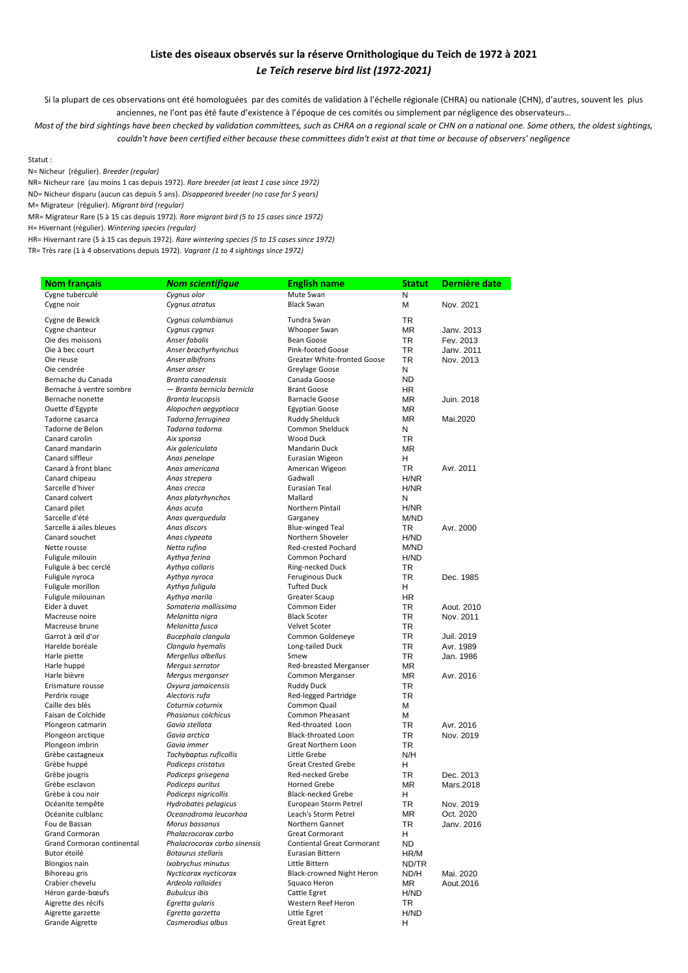## **Liste des oiseaux observés sur la réserve Ornithologique du Teich de 1972 à 2021** *Le Teich reserve bird list (1972-2021)*

Si la plupart de ces observations ont été homologuées par des comités de validation à l'échelle régionale (CHRA) ou nationale (CHN), d'autres, souvent les plus anciennes, ne l'ont pas été faute d'existence à l'époque de ces comités ou simplement par négligence des observateurs…

*Most of the bird sightings have been checked by validation committees, such as CHRA on a regional scale or CHN on a national one. Some others, the oldest sightings, couldn't have been certified either because these committees didn't exist at that time or because of observers' negligence*

## Statut :

N= Nicheur (régulier). *Breeder (regular)*

NR= Nicheur rare (au moins 1 cas depuis 1972). *Rare breeder (at least 1 case since 1972)*

ND= Nicheur disparu (aucun cas depuis 5 ans). *Disappeared breeder (no case for 5 years)*

M= Migrateur (régulier). *Migrant bird (regular)*

MR= Migrateur Rare (5 à 15 cas depuis 1972). *Rare migrant bird (5 to 15 cases since 1972)*

H= Hivernant (régulier). *Wintering species (regular)*

HR= Hivernant rare (5 à 15 cas depuis 1972). *Rare wintering species (5 to 15 cases since 1972)*

TR= Très rare (1 à 4 observations depuis 1972). *Vagrant (1 to 4 sightings since 1972)*

| <b>Nom français</b>        | <b>Nom scientifique</b>      | <b>English name</b>               | <b>Statut</b> | Dernière date |
|----------------------------|------------------------------|-----------------------------------|---------------|---------------|
| Cygne tuberculé            | Cygnus olor                  | Mute Swan                         | N             |               |
| Cygne noir                 | Cygnus atratus               | <b>Black Swan</b>                 | М             | Nov. 2021     |
| Cygne de Bewick            | Cygnus columbianus           | Tundra Swan                       | <b>TR</b>     |               |
| Cygne chanteur             | Cygnus cygnus                | Whooper Swan                      | <b>MR</b>     | Janv. 2013    |
| Oie des moissons           | Anser fabalis                | Bean Goose                        | TR            | Fev. 2013     |
| Oie à bec court            | Anser brachyrhynchus         | Pink-footed Goose                 | <b>TR</b>     | Janv. 2011    |
| Oie rieuse                 | Anser albifrons              | Greater White-fronted Goose       | TR            |               |
| Oie cendrée                | Anser anser                  | Greylage Goose                    | N             | Nov. 2013     |
| Bernache du Canada         | Branta canadensis            | Canada Goose                      | ND.           |               |
| Bernache à ventre sombre   | — Branta bernicla bernicla   | <b>Brant Goose</b>                | HR.           |               |
| Bernache nonette           | Branta leucopsis             | <b>Barnacle Goose</b>             | ΜR            | Juin. 2018    |
| Ouette d'Egypte            | Alopochen aegyptiaca         | <b>Egyptian Goose</b>             | <b>MR</b>     |               |
| Tadorne casarca            | Tadorna ferruginea           | Ruddy Shelduck                    | <b>MR</b>     | Mai.2020      |
| Tadorne de Belon           | Tadorna tadorna              | Common Shelduck                   | N             |               |
| Canard carolin             | Aix sponsa                   | Wood Duck                         | <b>TR</b>     |               |
| Canard mandarin            | Aix galericulata             | Mandarin Duck                     | <b>MR</b>     |               |
| Canard siffleur            | Anas penelope                | Eurasian Wigeon                   | н             |               |
| Canard à front blanc       | Anas americana               | American Wigeon                   | TR.           | Avr. 2011     |
| Canard chipeau             | Anas strepera                | Gadwall                           | H/NR          |               |
| Sarcelle d'hiver           | Anas crecca                  | Eurasian Teal                     | H/NR          |               |
| Canard colvert             | Anas platyrhynchos           | Mallard                           | N             |               |
| Canard pilet               | Anas acuta                   | Northern Pintail                  | H/NR          |               |
| Sarcelle d'été             | Anas querquedula             | Garganey                          | M/ND          |               |
| Sarcelle à ailes bleues    | Anas discors                 | <b>Blue-winged Teal</b>           | TR            | Avr. 2000     |
| Canard souchet             | Anas clypeata                | Northern Shoveler                 | H/ND          |               |
| Nette rousse               | Netta rufina                 | Red-crested Pochard               | M/ND          |               |
| Fuligule milouin           | Aythya ferina                | <b>Common Pochard</b>             | H/ND          |               |
| Fuligule à bec cerclé      | Aythya collaris              | Ring-necked Duck                  | TR            |               |
| Fuligule nyroca            | Aythya nyroca                | Feruginous Duck                   | <b>TR</b>     | Dec. 1985     |
| Fuligule morillon          | Aythya fuliqula              | <b>Tufted Duck</b>                | H.            |               |
| Fuligule milouinan         | Aythya marila                | Greater Scaup                     | HR.           |               |
| Eider à duvet              | Somateria mollissima         | Common Eider                      | TR.           | Aout. 2010    |
| Macreuse noire             | Melanitta nigra              | <b>Black Scoter</b>               | TR.           | Nov. 2011     |
| Macreuse brune             | Melanitta fusca              | <b>Velvet Scoter</b>              | <b>TR</b>     |               |
| Garrot à œil d'or          | Bucephala clangula           | Common Goldeneye                  | TR.           | Juil. 2019    |
| Harelde boréale            | Clangula hyemalis            | Long-tailed Duck                  | <b>TR</b>     | Avr. 1989     |
| Harle piette               | Mergellus albellus           | Smew                              | TR.           | Jan. 1986     |
| Harle huppé                | Mergus serrator              | Red-breasted Merganser            | <b>MR</b>     |               |
| Harle bièvre               | Mergus merganser             | Common Merganser                  | <b>MR</b>     | Avr. 2016     |
| Erismature rousse          | Oxyura jamaicensis           | Ruddy Duck                        | TR            |               |
| Perdrix rouge              | Alectoris rufa               | Red-legged Partridge              | <b>TR</b>     |               |
| Caille des blés            | Coturnix coturnix            | Common Quail                      | М             |               |
| Faisan de Colchide         | Phasianus colchicus          | Common Pheasant                   | М             |               |
| Plongeon catmarin          | Gavia stellata               | Red-throated Loon                 | TR            | Avr. 2016     |
| Plongeon arctique          | Gavia arctica                | Black-throated Loon               | TR.           | Nov. 2019     |
| Plongeon imbrin            | Gavia immer                  | Great Northern Loon               | TR.           |               |
| Grèbe castagneux           | Tachybaptus ruficollis       | Little Grebe                      | N/H           |               |
| Grèbe huppé                | Podiceps cristatus           | <b>Great Crested Grebe</b>        | H             |               |
| Grèbe jougris              | Podiceps grisegena           | Red-necked Grebe                  | <b>TR</b>     | Dec. 2013     |
| Grèbe esclavon             | Podiceps auritus             | Horned Grebe                      | <b>MR</b>     | Mars.2018     |
| Grèbe à cou noir           | Podiceps nigricollis         | <b>Black-necked Grebe</b>         | н             |               |
| Océanite tempête           | Hydrobates pelagicus         | European Storm Petrel             | TR            | Nov. 2019     |
| Océanite culblanc          | Oceanodroma leucorhoa        | Leach's Storm Petrel              | ΜR            | Oct. 2020     |
| Fou de Bassan              | Morus bassanus               | Northern Gannet                   | TR            | Janv. 2016    |
| Grand Cormoran             | Phalacrocorax carbo          | <b>Great Cormorant</b>            | H             |               |
| Grand Cormoran continental | Phalacrocorax carbo sinensis | <b>Contiental Great Cormorant</b> | ND.           |               |
| Butor étoilé               | <b>Botaurus stellaris</b>    | Eurasian Bittern                  | HR/M          |               |
| <b>Blongios nain</b>       | Ixobrychus minutus           | Little Bittern                    | ND/TR         |               |
| Bihoreau gris              | Nycticorax nycticorax        | Black-crowned Night Heron         | ND/H          | Mai. 2020     |
| Crabier chevelu            | Ardeola ralloides            | Squaco Heron                      | ΜR            | Aout.2016     |
| Héron garde-bœufs          | <b>Bubulcus ibis</b>         | Cattle Egret                      | H/ND          |               |
| Aigrette des récifs        | Egretta gularis              | Western Reef Heron                | TR            |               |
| Aigrette garzette          | Egretta garzetta             | Little Egret                      | H/ND          |               |
| <b>Grande Aigrette</b>     | Casmerodius albus            | <b>Great Egret</b>                | H.            |               |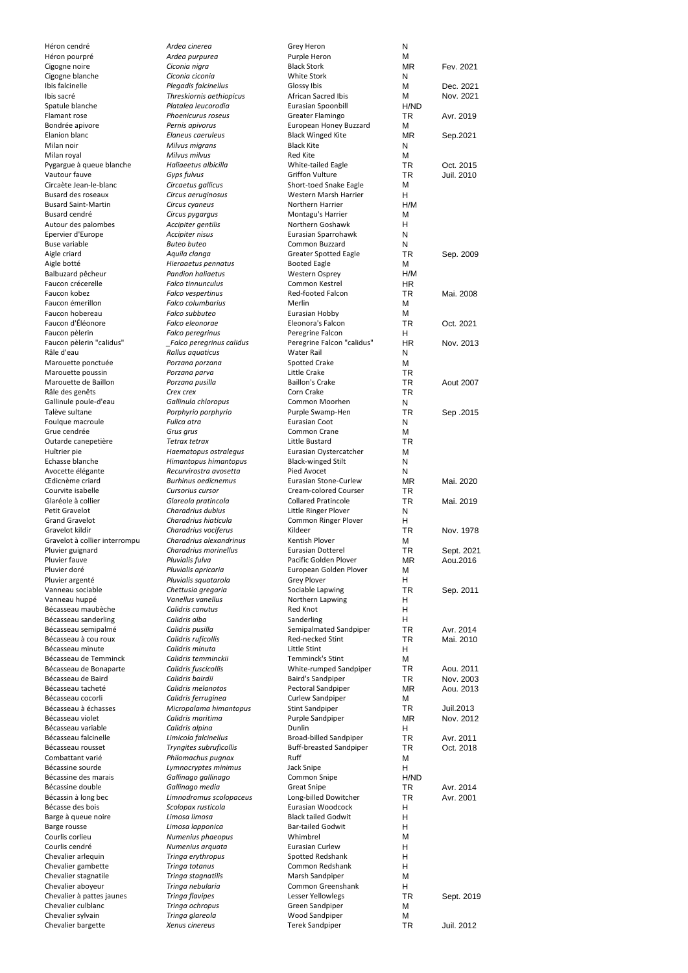| Héron cendré                            | Ardea cinerea                     | Grey Heron                               | N         |                  |
|-----------------------------------------|-----------------------------------|------------------------------------------|-----------|------------------|
| Héron pourpré                           | Ardea purpurea                    | Purple Heron                             | M         |                  |
| Cigogne noire                           | Ciconia nigra                     | <b>Black Stork</b>                       | <b>MR</b> | Fev. 2021        |
| Cigogne blanche                         | Ciconia ciconia                   | <b>White Stork</b>                       | N         |                  |
| Ibis falcinelle                         | Plegadis falcinellus              | Glossy Ibis                              | М         | Dec. 2021        |
| Ibis sacré                              |                                   |                                          | M         |                  |
|                                         | Threskiornis aethiopicus          | African Sacred Ibis                      |           | Nov. 2021        |
| Spatule blanche                         | Platalea leucorodia               | Eurasian Spoonbill                       | H/ND      |                  |
| Flamant rose                            | Phoenicurus roseus                | Greater Flamingo                         | <b>TR</b> | Avr. 2019        |
| Bondrée apivore                         | Pernis apivorus                   | European Honey Buzzard                   | м         |                  |
| <b>Elanion blanc</b>                    | Elaneus caeruleus                 | <b>Black Winged Kite</b>                 | MR        | Sep.2021         |
| Milan noir                              | Milvus migrans                    | <b>Black Kite</b>                        | N         |                  |
| Milan royal                             | Milvus milvus                     | Red Kite                                 | М         |                  |
| Pygargue à queue blanche                | Haliaeetus albicilla              | White-tailed Eagle                       | <b>TR</b> | Oct. 2015        |
| Vautour fauve                           | Gyps fulvus                       | <b>Griffon Vulture</b>                   | TR        | Juil. 2010       |
|                                         |                                   |                                          |           |                  |
| Circaète Jean-le-blanc                  | Circaetus gallicus                | Short-toed Snake Eagle                   | М         |                  |
| <b>Busard des roseaux</b>               | Circus aeruginosus                | Western Marsh Harrier                    | н         |                  |
| <b>Busard Saint-Martin</b>              | Circus cyaneus                    | Northern Harrier                         | H/M       |                  |
| Busard cendré                           | Circus pygargus                   | Montagu's Harrier                        | M         |                  |
| Autour des palombes                     | Accipiter gentilis                | Northern Goshawk                         | н         |                  |
|                                         |                                   |                                          |           |                  |
| Epervier d'Europe                       | Accipiter nisus                   | Eurasian Sparrohawk                      | N         |                  |
| <b>Buse variable</b>                    | <b>Buteo buteo</b>                | Common Buzzard                           | N         |                  |
| Aigle criard                            | Aquila clanga                     | <b>Greater Spotted Eagle</b>             | <b>TR</b> | Sep. 2009        |
| Aigle botté                             | Hieraaetus pennatus               | <b>Booted Eagle</b>                      | М         |                  |
| Balbuzard pêcheur                       | <b>Pandion haliaetus</b>          | <b>Western Osprey</b>                    | H/M       |                  |
| Faucon crécerelle                       | <b>Falco tinnunculus</b>          | Common Kestrel                           | HR.       |                  |
|                                         |                                   |                                          |           |                  |
| Faucon kobez                            | Falco vespertinus                 | Red-footed Falcon                        | <b>TR</b> | Mai. 2008        |
| Faucon émerillon                        | <b>Falco columbarius</b>          | Merlin                                   | М         |                  |
| Faucon hobereau                         | Falco subbuteo                    | Eurasian Hobby                           | М         |                  |
| Faucon d'Éléonore                       | Falco eleonorae                   | Eleonora's Falcon                        | <b>TR</b> | Oct. 2021        |
| Faucon pèlerin                          | Falco peregrinus                  | Peregrine Falcon                         | H         |                  |
|                                         |                                   |                                          |           |                  |
| Faucon pèlerin "calidus"                | Falco peregrinus calidus          | Peregrine Falcon "calidus"               | <b>HR</b> | Nov. 2013        |
| Râle d'eau                              | Rallus aquaticus                  | <b>Water Rail</b>                        | N         |                  |
| Marouette ponctuée                      | Porzana porzana                   | Spotted Crake                            | М         |                  |
| Marouette poussin                       | Porzana parva                     | Little Crake                             | <b>TR</b> |                  |
| Marouette de Baillon                    | Porzana pusilla                   | <b>Baillon's Crake</b>                   | <b>TR</b> | <b>Aout 2007</b> |
|                                         |                                   |                                          |           |                  |
| Râle des genêts                         | Crex crex                         | Corn Crake                               | <b>TR</b> |                  |
| Gallinule poule-d'eau                   | Gallinula chloropus               | Common Moorhen                           | N         |                  |
| Talève sultane                          | Porphyrio porphyrio               | Purple Swamp-Hen                         | <b>TR</b> | Sep. 2015        |
| Foulque macroule                        | Fulica atra                       | Eurasian Coot                            | N         |                  |
| Grue cendrée                            | Grus grus                         | Common Crane                             | м         |                  |
|                                         | Tetrax tetrax                     | Little Bustard                           |           |                  |
| Outarde canepetière                     |                                   |                                          | <b>TR</b> |                  |
| Huîtrier pie                            | Haematopus ostralegus             | Eurasian Oystercatcher                   | М         |                  |
| Echasse blanche                         | Himantopus himantopus             | <b>Black-winged Stilt</b>                | N         |                  |
| Avocette élégante                       | Recurvirostra avosetta            | Pied Avocet                              | N         |                  |
| <b>Œdicnème criard</b>                  | <b>Burhinus oedicnemus</b>        | Eurasian Stone-Curlew                    | <b>MR</b> | Mai. 2020        |
| Courvite isabelle                       | Cursorius cursor                  | Cream-colored Courser                    | <b>TR</b> |                  |
|                                         |                                   |                                          |           |                  |
| Glaréole à collier                      | Glareola pratincola               | <b>Collared Pratincole</b>               | <b>TR</b> | Mai. 2019        |
| Petit Gravelot                          | Charadrius dubius                 | Little Ringer Plover                     | N         |                  |
| <b>Grand Gravelot</b>                   | Charadrius hiaticula              | Common Ringer Plover                     | H.        |                  |
| Gravelot kildir                         | Charadrius vociferus              | Kildeer                                  | <b>TR</b> | Nov. 1978        |
| Gravelot à collier interrompu           | Charadrius alexandrinus           | Kentish Plover                           | М         |                  |
|                                         |                                   |                                          |           |                  |
| Pluvier guignard                        | Charadrius morinellus             | <b>Eurasian Dotterel</b>                 | <b>TR</b> | Sept. 2021       |
| Pluvier fauve                           | Pluvialis fulva                   | Pacific Golden Plover                    | <b>MR</b> | Aou.2016         |
| Pluvier doré                            | Pluvialis apricaria               | European Golden Plover                   | М         |                  |
| Pluvier argenté                         | Pluvialis squatarola              | <b>Grey Plover</b>                       | H         |                  |
| Vanneau sociable                        | Chettusia gregaria                | Sociable Lapwing                         | TR        | Sep. 2011        |
| Vanneau huppé                           | Vanellus vanellus                 | Northern Lapwing                         | н         |                  |
|                                         |                                   |                                          |           |                  |
| Bécasseau maubèche                      | Calidris canutus                  | <b>Red Knot</b>                          | н         |                  |
| Bécasseau sanderling                    | Calidris alba                     | Sanderling                               | н         |                  |
| Bécasseau semipalmé                     | Calidris pusilla                  | Semipalmated Sandpiper                   | TR        | Avr. 2014        |
| Bécasseau à cou roux                    | Calidris ruficollis               | Red-necked Stint                         | <b>TR</b> | Mai. 2010        |
| Bécasseau minute                        | Calidris minuta                   | Little Stint                             | H.        |                  |
| Bécasseau de Temminck                   | Calidris temminckii               | Temminck's Stint                         | М         |                  |
|                                         |                                   |                                          |           |                  |
| Bécasseau de Bonaparte                  | Calidris fuscicollis              | White-rumped Sandpiper                   | TR        | Aou. 2011        |
| Bécasseau de Baird                      | Calidris bairdii                  | Baird's Sandpiper                        | <b>TR</b> | Nov. 2003        |
| Bécasseau tacheté                       | Calidris melanotos                | Pectoral Sandpiper                       | MR        | Aou. 2013        |
| Bécasseau cocorli                       | Calidris ferruginea               | Curlew Sandpiper                         | М         |                  |
| Bécasseau à échasses                    | Micropalama himantopus            | <b>Stint Sandpiper</b>                   | TR        | Juil.2013        |
| Bécasseau violet                        | Calidris maritima                 | Purple Sandpiper                         | ΜR        | Nov. 2012        |
|                                         |                                   |                                          |           |                  |
| Bécasseau variable                      | Calidris alpina                   | Dunlin                                   | H         |                  |
| Bécasseau falcinelle                    | Limicola falcinellus              | Broad-billed Sandpiper                   | TR        | Avr. 2011        |
| Bécasseau rousset                       | Tryngites subruficollis           | <b>Buff-breasted Sandpiper</b>           | <b>TR</b> | Oct. 2018        |
| Combattant varié                        |                                   |                                          |           |                  |
| Bécassine sourde                        |                                   |                                          |           |                  |
|                                         | Philomachus pugnax                | Ruff                                     | М         |                  |
|                                         | Lymnocryptes minimus              | Jack Snipe                               | H         |                  |
| Bécassine des marais                    | Gallinago gallinago               | Common Snipe                             | H/ND      |                  |
| Bécassine double                        | Gallinago media                   | <b>Great Snipe</b>                       | TR        | Avr. 2014        |
| Bécassin à long bec                     | Limnodromus scolopaceus           | Long-billed Dowitcher                    | TR        | Avr. 2001        |
| Bécasse des bois                        | Scolopax rusticola                | Eurasian Woodcock                        | H         |                  |
|                                         |                                   |                                          |           |                  |
| Barge à queue noire                     | Limosa limosa                     | <b>Black tailed Godwit</b>               | н         |                  |
| Barge rousse                            | Limosa lapponica                  | <b>Bar-tailed Godwit</b>                 | н         |                  |
| Courlis corlieu                         | Numenius phaeopus                 | Whimbrel                                 | M         |                  |
| Courlis cendré                          | Numenius arquata                  | Eurasian Curlew                          | н         |                  |
| Chevalier arlequin                      | Tringa erythropus                 | Spotted Redshank                         | н         |                  |
|                                         |                                   |                                          |           |                  |
| Chevalier gambette                      | Tringa totanus                    | Common Redshank                          | н         |                  |
| Chevalier stagnatile                    | Tringa stagnatilis                | Marsh Sandpiper                          | М         |                  |
| Chevalier aboyeur                       | Tringa nebularia                  | Common Greenshank                        | н         |                  |
| Chevalier à pattes jaunes               | <b>Tringa flavipes</b>            | Lesser Yellowlegs                        | <b>TR</b> | Sept. 2019       |
| Chevalier culblanc                      | Tringa ochropus                   | Green Sandpiper                          | М         |                  |
|                                         |                                   |                                          |           |                  |
| Chevalier sylvain<br>Chevalier bargette | Tringa glareola<br>Xenus cinereus | Wood Sandpiper<br><b>Terek Sandpiper</b> | М<br>TR   | Juil. 2012       |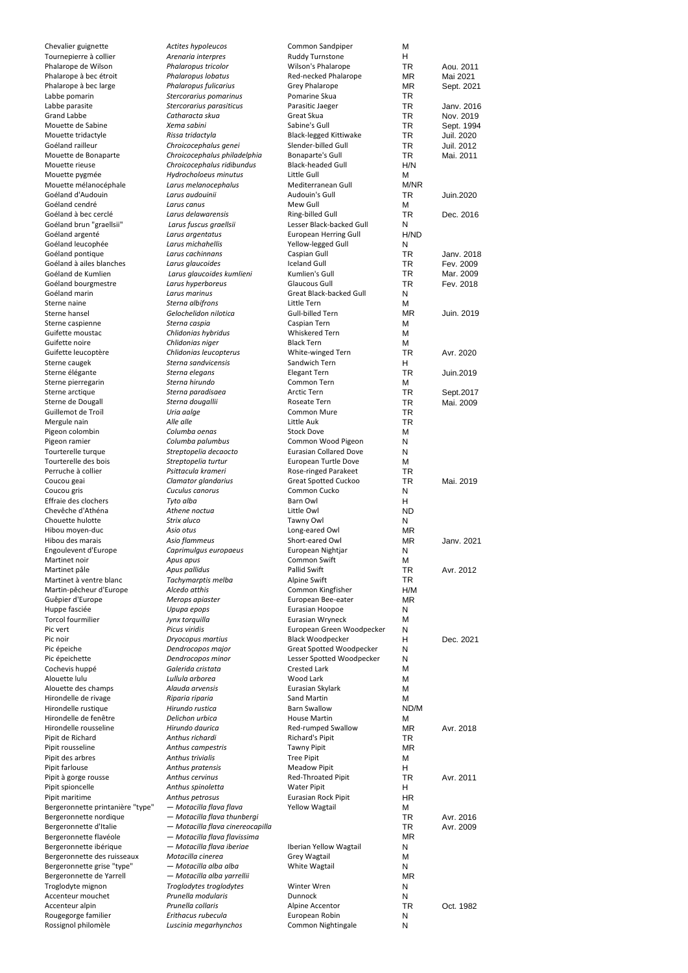| Chevalier guignette                                | Actites hypoleucos                                         | Common Sandpiper                             | М                      |                        |
|----------------------------------------------------|------------------------------------------------------------|----------------------------------------------|------------------------|------------------------|
| Tournepierre à collier<br>Phalarope de Wilson      | Arenaria interpres<br>Phalaropus tricolor                  | <b>Ruddy Turnstone</b><br>Wilson's Phalarope | н<br><b>TR</b>         |                        |
| Phalarope à bec étroit                             | Phalaropus lobatus                                         | Red-necked Phalarope                         | <b>MR</b>              | Aou. 2011<br>Mai 2021  |
| Phalarope à bec large                              | Phalaropus fulicarius                                      | Grey Phalarope                               | ΜR                     | Sept. 2021             |
| Labbe pomarin                                      | Stercorarius pomarinus                                     | Pomarine Skua                                | <b>TR</b>              |                        |
| Labbe parasite                                     | Stercorarius parasiticus                                   | Parasitic Jaeger                             | <b>TR</b>              | Janv. 2016             |
| <b>Grand Labbe</b>                                 | Catharacta skua                                            | Great Skua                                   | <b>TR</b>              | Nov. 2019              |
| Mouette de Sabine                                  | Xema sabini                                                | Sabine's Gull                                | <b>TR</b>              | Sept. 1994             |
| Mouette tridactyle                                 | Rissa tridactyla                                           | <b>Black-legged Kittiwake</b>                | <b>TR</b>              | Juil. 2020             |
| Goéland railleur                                   | Chroicocephalus genei                                      | Slender-billed Gull                          | <b>TR</b>              | Juil. 2012             |
| Mouette de Bonaparte                               | Chroicocephalus philadelphia<br>Chroicocephalus ridibundus | Bonaparte's Gull<br><b>Black-headed Gull</b> | <b>TR</b>              | Mai. 2011              |
| Mouette rieuse<br>Mouette pygmée                   | Hydrocholoeus minutus                                      | Little Gull                                  | H/N<br>М               |                        |
| Mouette mélanocéphale                              | Larus melanocephalus                                       | Mediterranean Gull                           | M/NR                   |                        |
| Goéland d'Audouin                                  | Larus audouinii                                            | Audouin's Gull                               | <b>TR</b>              | Juin.2020              |
| Goéland cendré                                     | Larus canus                                                | Mew Gull                                     | м                      |                        |
| Goéland à bec cerclé                               | Larus delawarensis                                         | Ring-billed Gull                             | <b>TR</b>              | Dec. 2016              |
| Goéland brun "graellsii"                           | Larus fuscus graellsii                                     | Lesser Black-backed Gull                     | N                      |                        |
| Goéland argenté                                    | Larus argentatus                                           | <b>European Herring Gull</b>                 | H/ND                   |                        |
| Goéland leucophée                                  | Larus michahellis                                          | Yellow-legged Gull                           | N                      |                        |
| Goéland pontique                                   | Larus cachinnans                                           | Caspian Gull                                 | <b>TR</b>              | Janv. 2018             |
| Goéland à ailes blanches<br>Goéland de Kumlien     | Larus glaucoides<br>Larus glaucoides kumlieni              | <b>Iceland Gull</b><br>Kumlien's Gull        | <b>TR</b><br><b>TR</b> | Fev. 2009<br>Mar. 2009 |
| Goéland bourgmestre                                | Larus hyperboreus                                          | Glaucous Gull                                | <b>TR</b>              | Fev. 2018              |
| Goéland marin                                      | Larus marinus                                              | Great Black-backed Gull                      | N                      |                        |
| Sterne naine                                       | Sterna albifrons                                           | Little Tern                                  | M                      |                        |
| Sterne hansel                                      | Gelochelidon nilotica                                      | Gull-billed Tern                             | <b>MR</b>              | Juin. 2019             |
| Sterne caspienne                                   | Sterna caspia                                              | Caspian Tern                                 | M                      |                        |
| Guifette moustac                                   | Chlidonias hybridus                                        | Whiskered Tern                               | M                      |                        |
| Guifette noire                                     | Chlidonias niger                                           | <b>Black Tern</b>                            | М                      |                        |
| Guifette leucoptère                                | Chlidonias leucopterus                                     | White-winged Tern                            | <b>TR</b>              | Avr. 2020              |
| Sterne caugek                                      | Sterna sandvicensis                                        | Sandwich Tern                                | H                      |                        |
| Sterne élégante<br>Sterne pierregarin              | Sterna elegans<br>Sterna hirundo                           | <b>Elegant Tern</b><br>Common Tern           | <b>TR</b><br>м         | Juin.2019              |
| Sterne arctique                                    | Sterna paradisaea                                          | Arctic Tern                                  | <b>TR</b>              | Sept.2017              |
| Sterne de Dougall                                  | Sterna dougallii                                           | Roseate Tern                                 | <b>TR</b>              | Mai. 2009              |
| Guillemot de Troïl                                 | Uria aalge                                                 | Common Mure                                  | <b>TR</b>              |                        |
| Mergule nain                                       | Alle alle                                                  | Little Auk                                   | <b>TR</b>              |                        |
| Pigeon colombin                                    | Columba oenas                                              | <b>Stock Dove</b>                            | M                      |                        |
| Pigeon ramier                                      | Columba palumbus                                           | Common Wood Pigeon                           | N                      |                        |
| Tourterelle turque                                 | Streptopelia decaocto                                      | <b>Eurasian Collared Dove</b>                | N                      |                        |
| Tourterelle des bois                               | Streptopelia turtur                                        | European Turtle Dove                         | M                      |                        |
| Perruche à collier                                 | Psittacula krameri                                         | Rose-ringed Parakeet                         | <b>TR</b>              |                        |
| Coucou geai<br>Coucou gris                         | Clamator glandarius<br>Cuculus canorus                     | Great Spotted Cuckoo<br>Common Cucko         | <b>TR</b><br>N         | Mai. 2019              |
| Effraie des clochers                               | Tyto alba                                                  | Barn Owl                                     | н                      |                        |
| Chevêche d'Athéna                                  | Athene noctua                                              | Little Owl                                   | <b>ND</b>              |                        |
| Chouette hulotte                                   | Strix aluco                                                | Tawny Owl                                    | N                      |                        |
| Hibou moyen-duc                                    | Asio otus                                                  | Long-eared Owl                               | MR                     |                        |
| Hibou des marais                                   | Asio flammeus                                              | Short-eared Owl                              | <b>MR</b>              | Janv. 2021             |
| Engoulevent d'Europe                               | Caprimulgus europaeus                                      | European Nightjar                            | N                      |                        |
| Martinet noir                                      | Apus apus                                                  | Common Swift                                 | м                      |                        |
| Martinet pâle                                      | Apus pallidus                                              | Pallid Swift                                 | TR                     | Avr. 2012              |
| Martinet à ventre blanc<br>Martin-pêcheur d'Europe | Tachymarptis melba<br>Alcedo atthis                        | Alpine Swift                                 | TR<br>H/M              |                        |
| Guêpier d'Europe                                   | Merops apiaster                                            | Common Kingfisher<br>European Bee-eater      | ΜR                     |                        |
| Huppe fasciée                                      | Upupa epops                                                | Eurasian Hoopoe                              | Ν                      |                        |
| <b>Torcol fourmilier</b>                           | Jynx torquilla                                             | Eurasian Wryneck                             | M                      |                        |
| Pic vert                                           | Picus viridis                                              | European Green Woodpecker                    | Ν                      |                        |
| Pic noir                                           | Dryocopus martius                                          | <b>Black Woodpecker</b>                      | н                      | Dec. 2021              |
| Pic épeiche                                        | Dendrocopos major                                          | Great Spotted Woodpecker                     | N                      |                        |
| Pic épeichette                                     | Dendrocopos minor                                          | Lesser Spotted Woodpecker                    | Ν                      |                        |
| Cochevis huppé                                     | Galerida cristata                                          | Crested Lark                                 | M                      |                        |
| Alouette lulu                                      | Lullula arborea<br>Alauda arvensis                         | Wood Lark                                    | M                      |                        |
| Alouette des champs<br>Hirondelle de rivage        | Riparia riparia                                            | Eurasian Skylark<br>Sand Martin              | M<br>М                 |                        |
| Hirondelle rustique                                | Hirundo rustica                                            | <b>Barn Swallow</b>                          | ND/M                   |                        |
| Hirondelle de fenêtre                              | Delichon urbica                                            | <b>House Martin</b>                          | М                      |                        |
| Hirondelle rousseline                              | Hirundo daurica                                            | Red-rumped Swallow                           | MR                     | Avr. 2018              |
| Pipit de Richard                                   | Anthus richardi                                            | Richard's Pipit                              | TR                     |                        |
| Pipit rousseline                                   | Anthus campestris                                          | <b>Tawny Pipit</b>                           | MR                     |                        |
| Pipit des arbres                                   | Anthus trivialis                                           | <b>Tree Pipit</b>                            | М                      |                        |
| Pipit farlouse                                     | Anthus pratensis                                           | <b>Meadow Pipit</b>                          | н                      |                        |
| Pipit à gorge rousse                               | Anthus cervinus                                            | Red-Throated Pipit                           | <b>TR</b>              | Avr. 2011              |
| Pipit spioncelle<br>Pipit maritime                 | Anthus spinoletta<br>Anthus petrosus                       | <b>Water Pipit</b><br>Eurasian Rock Pipit    | H.                     |                        |
| Bergeronnette printanière "type"                   | — Motacilla flava flava                                    | <b>Yellow Wagtail</b>                        | HR<br>м                |                        |
| Bergeronnette nordique                             | — Motacilla flava thunbergi                                |                                              | <b>TR</b>              | Avr. 2016              |
| Bergeronnette d'Italie                             | - Motacilla flava cinereocapilla                           |                                              | TR                     | Avr. 2009              |
| Bergeronnette flavéole                             | - Motacilla flava flavissima                               |                                              | <b>MR</b>              |                        |
| Bergeronnette ibérique                             | — Motacilla flava iberiae                                  | Iberian Yellow Wagtail                       | Ν                      |                        |
| Bergeronnette des ruisseaux                        | Motacilla cinerea                                          | Grey Wagtail                                 | M                      |                        |
| Bergeronnette grise "type"                         | — Motacilla alba alba                                      | White Wagtail                                | Ν                      |                        |
| Bergeronnette de Yarrell                           | — Motacilla alba yarrellii                                 |                                              | <b>MR</b>              |                        |
| Troglodyte mignon<br>Accenteur mouchet             | Troglodytes troglodytes<br>Prunella modularis              | Winter Wren<br>Dunnock                       | N<br>N                 |                        |
| Accenteur alpin                                    | Prunella collaris                                          | Alpine Accentor                              | TR                     | Oct. 1982              |
| Rougegorge familier                                | Erithacus rubecula                                         | European Robin                               | Ν                      |                        |
| Rossignol philomèle                                | Luscinia megarhynchos                                      | Common Nightingale                           | Ν                      |                        |
|                                                    |                                                            |                                              |                        |                        |